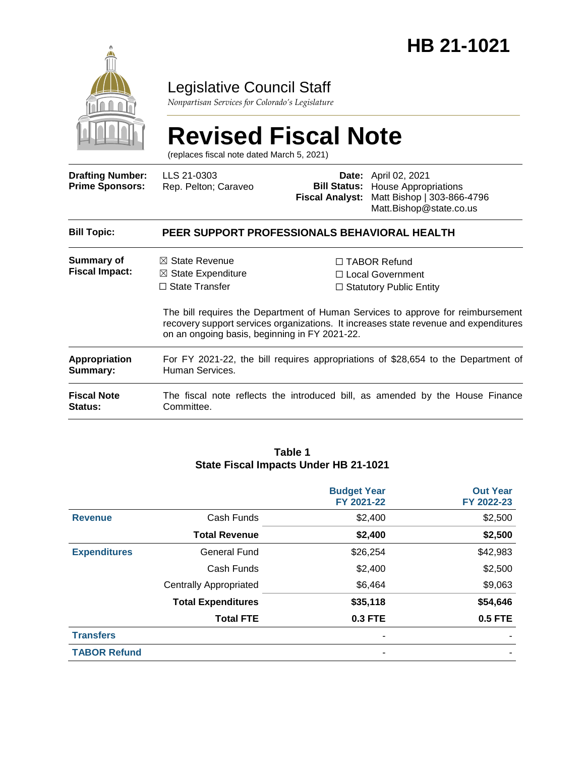

## Legislative Council Staff

*Nonpartisan Services for Colorado's Legislature*

# **Revised Fiscal Note**

(replaces fiscal note dated March 5, 2021)

| <b>Drafting Number:</b><br><b>Prime Sponsors:</b> | LLS 21-0303<br>Rep. Pelton; Caraveo                                                                                                                                                                                      | <b>Fiscal Analyst:</b>         | <b>Date:</b> April 02, 2021<br><b>Bill Status:</b> House Appropriations<br>Matt Bishop   303-866-4796<br>Matt.Bishop@state.co.us |  |  |
|---------------------------------------------------|--------------------------------------------------------------------------------------------------------------------------------------------------------------------------------------------------------------------------|--------------------------------|----------------------------------------------------------------------------------------------------------------------------------|--|--|
| <b>Bill Topic:</b>                                | PEER SUPPORT PROFESSIONALS BEHAVIORAL HEALTH                                                                                                                                                                             |                                |                                                                                                                                  |  |  |
| Summary of<br><b>Fiscal Impact:</b>               | $\boxtimes$ State Revenue<br>$\boxtimes$ State Expenditure                                                                                                                                                               |                                | $\Box$ TABOR Refund<br>□ Local Government                                                                                        |  |  |
|                                                   | $\Box$ State Transfer                                                                                                                                                                                                    | $\Box$ Statutory Public Entity |                                                                                                                                  |  |  |
|                                                   | The bill requires the Department of Human Services to approve for reimbursement<br>recovery support services organizations. It increases state revenue and expenditures<br>on an ongoing basis, beginning in FY 2021-22. |                                |                                                                                                                                  |  |  |
| <b>Appropriation</b><br>Summary:                  | For FY 2021-22, the bill requires appropriations of \$28,654 to the Department of<br>Human Services.                                                                                                                     |                                |                                                                                                                                  |  |  |
| <b>Fiscal Note</b><br><b>Status:</b>              | Committee.                                                                                                                                                                                                               |                                | The fiscal note reflects the introduced bill, as amended by the House Finance                                                    |  |  |

#### **Table 1 State Fiscal Impacts Under HB 21-1021**

|                     |                               | <b>Budget Year</b><br>FY 2021-22 | <b>Out Year</b><br>FY 2022-23 |
|---------------------|-------------------------------|----------------------------------|-------------------------------|
| <b>Revenue</b>      | Cash Funds                    | \$2,400                          | \$2,500                       |
|                     | <b>Total Revenue</b>          | \$2,400                          | \$2,500                       |
| <b>Expenditures</b> | <b>General Fund</b>           | \$26,254                         | \$42,983                      |
|                     | Cash Funds                    | \$2,400                          | \$2,500                       |
|                     | <b>Centrally Appropriated</b> | \$6,464                          | \$9,063                       |
|                     | <b>Total Expenditures</b>     | \$35,118                         | \$54,646                      |
|                     | <b>Total FTE</b>              | 0.3 FTE                          | <b>0.5 FTE</b>                |
| <b>Transfers</b>    |                               | ٠                                |                               |
| <b>TABOR Refund</b> |                               | ٠                                |                               |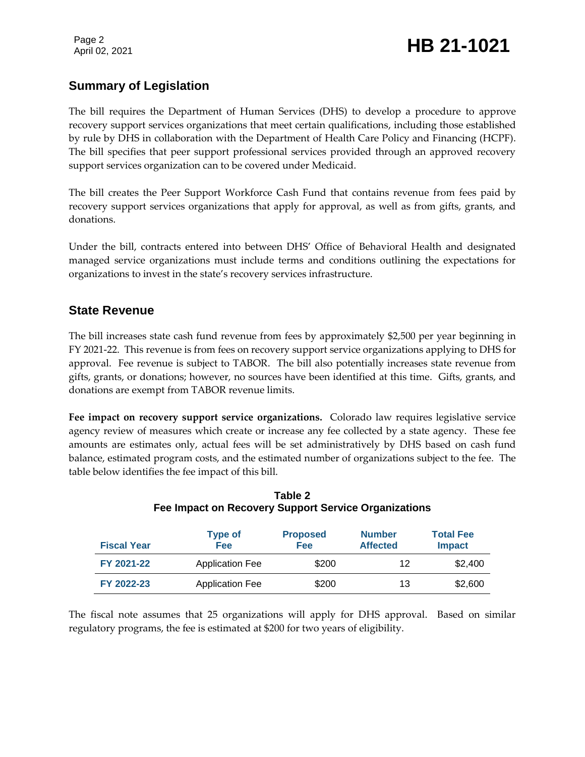## **Summary of Legislation**

The bill requires the Department of Human Services (DHS) to develop a procedure to approve recovery support services organizations that meet certain qualifications, including those established by rule by DHS in collaboration with the Department of Health Care Policy and Financing (HCPF). The bill specifies that peer support professional services provided through an approved recovery support services organization can to be covered under Medicaid.

The bill creates the Peer Support Workforce Cash Fund that contains revenue from fees paid by recovery support services organizations that apply for approval, as well as from gifts, grants, and donations.

Under the bill, contracts entered into between DHS' Office of Behavioral Health and designated managed service organizations must include terms and conditions outlining the expectations for organizations to invest in the state's recovery services infrastructure.

#### **State Revenue**

The bill increases state cash fund revenue from fees by approximately \$2,500 per year beginning in FY 2021-22. This revenue is from fees on recovery support service organizations applying to DHS for approval. Fee revenue is subject to TABOR. The bill also potentially increases state revenue from gifts, grants, or donations; however, no sources have been identified at this time. Gifts, grants, and donations are exempt from TABOR revenue limits.

**Fee impact on recovery support service organizations.** Colorado law requires legislative service agency review of measures which create or increase any fee collected by a state agency. These fee amounts are estimates only, actual fees will be set administratively by DHS based on cash fund balance, estimated program costs, and the estimated number of organizations subject to the fee. The table below identifies the fee impact of this bill.

| <b>Fiscal Year</b> | <b>Type of</b><br><b>Fee</b> | <b>Proposed</b><br><b>Fee</b> | <b>Number</b><br><b>Affected</b> | <b>Total Fee</b><br><b>Impact</b> |
|--------------------|------------------------------|-------------------------------|----------------------------------|-----------------------------------|
| FY 2021-22         | <b>Application Fee</b>       | \$200                         | 12                               | \$2,400                           |
| FY 2022-23         | <b>Application Fee</b>       | \$200                         | 13                               | \$2,600                           |

#### **Table 2 Fee Impact on Recovery Support Service Organizations**

The fiscal note assumes that 25 organizations will apply for DHS approval. Based on similar regulatory programs, the fee is estimated at \$200 for two years of eligibility.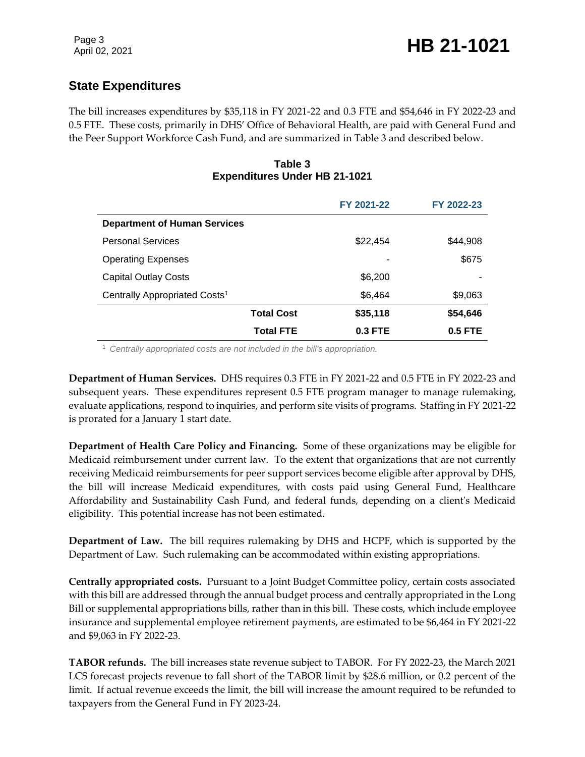## **State Expenditures**

The bill increases expenditures by \$35,118 in FY 2021-22 and 0.3 FTE and \$54,646 in FY 2022-23 and 0.5 FTE. These costs, primarily in DHS' Office of Behavioral Health, are paid with General Fund and the Peer Support Workforce Cash Fund, and are summarized in Table 3 and described below.

#### **Table 3 Expenditures Under HB 21-1021**

|                                           |                   | FY 2021-22     | FY 2022-23 |
|-------------------------------------------|-------------------|----------------|------------|
| <b>Department of Human Services</b>       |                   |                |            |
| <b>Personal Services</b>                  |                   | \$22,454       | \$44,908   |
| <b>Operating Expenses</b>                 |                   |                | \$675      |
| <b>Capital Outlay Costs</b>               |                   | \$6,200        |            |
| Centrally Appropriated Costs <sup>1</sup> |                   | \$6,464        | \$9,063    |
|                                           | <b>Total Cost</b> | \$35,118       | \$54,646   |
|                                           | <b>Total FTE</b>  | <b>0.3 FTE</b> | $0.5$ FTE  |

<sup>1</sup> *Centrally appropriated costs are not included in the bill's appropriation.*

**Department of Human Services.** DHS requires 0.3 FTE in FY 2021-22 and 0.5 FTE in FY 2022-23 and subsequent years. These expenditures represent 0.5 FTE program manager to manage rulemaking, evaluate applications, respond to inquiries, and perform site visits of programs. Staffing in FY 2021-22 is prorated for a January 1 start date.

**Department of Health Care Policy and Financing.** Some of these organizations may be eligible for Medicaid reimbursement under current law. To the extent that organizations that are not currently receiving Medicaid reimbursements for peer support services become eligible after approval by DHS, the bill will increase Medicaid expenditures, with costs paid using General Fund, Healthcare Affordability and Sustainability Cash Fund, and federal funds, depending on a client's Medicaid eligibility. This potential increase has not been estimated.

**Department of Law.** The bill requires rulemaking by DHS and HCPF, which is supported by the Department of Law. Such rulemaking can be accommodated within existing appropriations.

**Centrally appropriated costs.** Pursuant to a Joint Budget Committee policy, certain costs associated with this bill are addressed through the annual budget process and centrally appropriated in the Long Bill or supplemental appropriations bills, rather than in this bill. These costs, which include employee insurance and supplemental employee retirement payments, are estimated to be \$6,464 in FY 2021-22 and \$9,063 in FY 2022-23.

**TABOR refunds.** The bill increases state revenue subject to TABOR. For FY 2022-23, the March 2021 LCS forecast projects revenue to fall short of the TABOR limit by \$28.6 million, or 0.2 percent of the limit. If actual revenue exceeds the limit, the bill will increase the amount required to be refunded to taxpayers from the General Fund in FY 2023-24.